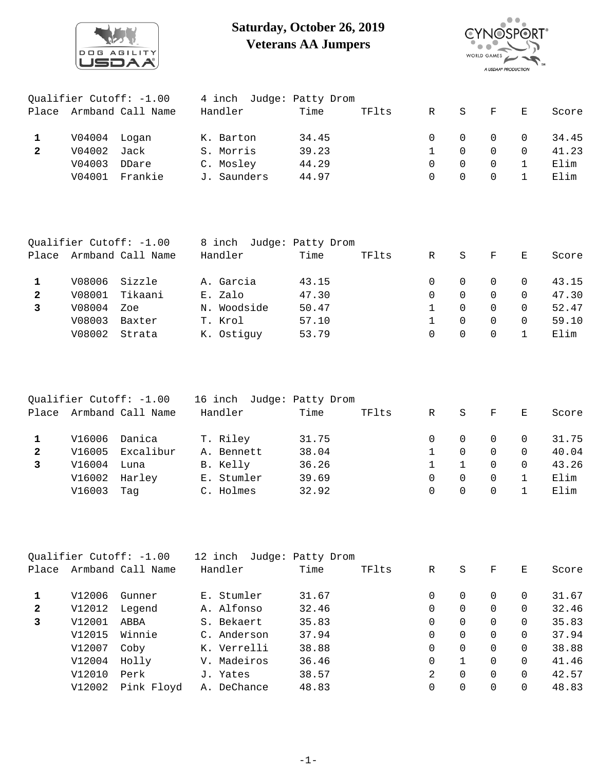

## **Saturday, October 26, 2019 Veterans AA Jumpers**



| Qualifier Cutoff: -1.00 |                   |         | 4 inch Judge: Patty Drom |       |       |        |              |          |              |       |
|-------------------------|-------------------|---------|--------------------------|-------|-------|--------|--------------|----------|--------------|-------|
| Place                   | Armband Call Name |         | Handler                  | Time  | TFlts | R      | $\mathbf{S}$ | F.       | $\mathbf{E}$ | Score |
|                         | V04004 Logan      |         | K. Barton                | 34.45 |       | $\cap$ | $\Omega$     | $\Omega$ | $\Omega$     | 34.45 |
| $\mathbf{2}$            | V04002            | Jack    | S. Morris                | 39.23 |       |        |              | 0        | $\Omega$     | 41.23 |
|                         | V04003            | DDare   | C. Mosley                | 44.29 |       | $\cap$ | $\Omega$     | $\Omega$ |              | Elim  |
|                         | V04001            | Frankie | J. Saunders              | 44.97 |       | $\cap$ |              | $\Omega$ |              | Elim  |

| Qualifier Cutoff: -1.00 |                         | 8 inch        | Judge: Patty Drom        |       |  |   |          |          |          |       |
|-------------------------|-------------------------|---------------|--------------------------|-------|--|---|----------|----------|----------|-------|
|                         | Place Armband Call Name |               | Time<br>TFlts<br>Handler |       |  | R | S.       | F        | E        | Score |
|                         |                         | V08006 Sizzle | A. Garcia                | 43.15 |  |   | $\Omega$ | $\Omega$ | $\Omega$ | 43.15 |
| $\mathbf{2}$            | V08001                  | Tikaani       | E. Zalo                  | 47.30 |  | 0 | $\Omega$ | $\Omega$ | $\Omega$ | 47.30 |
|                         | V08004                  | Zoe           | N. Woodside              | 50.47 |  |   | 0        | $\Omega$ | $\Omega$ | 52.47 |
|                         | V08003                  | Baxter        | T. Krol                  | 57.10 |  |   | $\Omega$ | $\Omega$ | $\Omega$ | 59.10 |
|                         | V08002                  | Strata        | K. Ostiquy               | 53.79 |  | 0 | 0        |          |          | Elim  |
|                         |                         |               |                          |       |  |   |          |          |          |       |

| Qualifier Cutoff: -1.00 |                         | 16 inch Judge: Patty Drom |                          |       |   |          |              |                |       |
|-------------------------|-------------------------|---------------------------|--------------------------|-------|---|----------|--------------|----------------|-------|
|                         | Place Armband Call Name |                           | Time<br>TFlts<br>Handler |       | R | S        | $\mathbf{F}$ | E.             | Score |
|                         |                         |                           |                          |       |   |          |              |                |       |
|                         | V16006 Danica           |                           | T. Riley                 | 31.75 |   | $\Omega$ | $\Omega$     | $\overline{0}$ | 31.75 |
| $\mathbf{2}$            |                         | V16005 Excalibur          | A. Bennett               | 38.04 |   | $\Omega$ | $\Omega$     | $\Omega$       | 40.04 |
|                         | V16004                  | Luna                      | B. Kelly                 | 36.26 |   |          | $\Omega$     | $\Omega$       | 43.26 |
|                         | V16002                  | Harley                    | E. Stumler               | 39.69 | 0 | $\Omega$ | $\Omega$     |                | Elim  |
|                         | V16003                  | Taq                       | C. Holmes                | 32.92 | 0 | 0        | 0            |                | Elim  |

|              |        | Qualifier Cutoff: -1.00 | 12 inch     | Judge: Patty Drom |       |          |          |          |          |       |
|--------------|--------|-------------------------|-------------|-------------------|-------|----------|----------|----------|----------|-------|
| Place        |        | Armband Call Name       | Handler     | Time              | TFlts | R        | S        | F        | E.       | Score |
| 1            | V12006 | Gunner                  | E. Stumler  | 31.67             |       | $\Omega$ | 0        | $\Omega$ | $\Omega$ | 31.67 |
| $\mathbf{2}$ | V12012 | Legend                  | A. Alfonso  | 32.46             |       | 0        | 0        | $\Omega$ | $\Omega$ | 32.46 |
| 3            | V12001 | ABBA                    | S. Bekaert  | 35.83             |       | $\Omega$ | $\Omega$ | $\Omega$ | $\Omega$ | 35.83 |
|              | V12015 | Winnie                  | C. Anderson | 37.94             |       | $\Omega$ | 0        | $\Omega$ | 0        | 37.94 |
|              | V12007 | Coby                    | K. Verrelli | 38.88             |       | $\Omega$ | $\Omega$ | $\Omega$ | $\Omega$ | 38.88 |
|              | V12004 | Holly                   | V. Madeiros | 36.46             |       | 0        |          | $\Omega$ | 0        | 41.46 |
|              | V12010 | Perk                    | J. Yates    | 38.57             |       | 2        | $\Omega$ | $\Omega$ | $\Omega$ | 42.57 |
|              | V12002 | Pink Floyd              | A. DeChance | 48.83             |       | $\Omega$ | 0        | $\Omega$ | 0        | 48.83 |